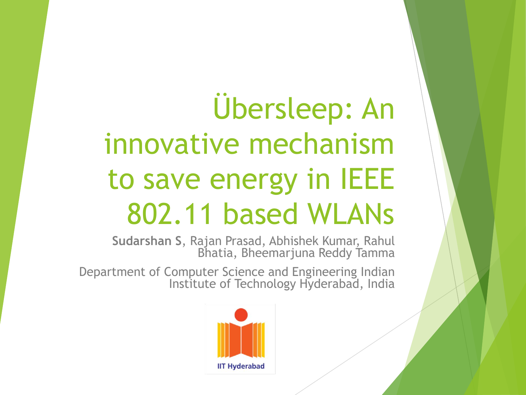# Übersleep: An innovative mechanism to save energy in IEEE 802.11 based WLANs

**Sudarshan S**, Rajan Prasad, Abhishek Kumar, Rahul Bhatia, Bheemarjuna Reddy Tamma

Department of Computer Science and Engineering Indian Institute of Technology Hyderabad, India

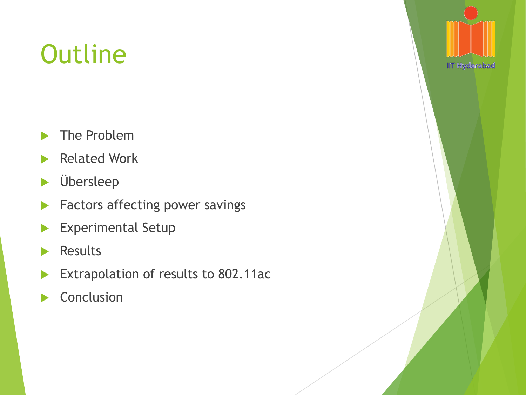## **Outline**

- ▶ The Problem
- Related Work
- Übersleep
- **Factors affecting power savings**
- **Experimental Setup**
- **Results**
- Extrapolation of results to 802.11ac
- Conclusion

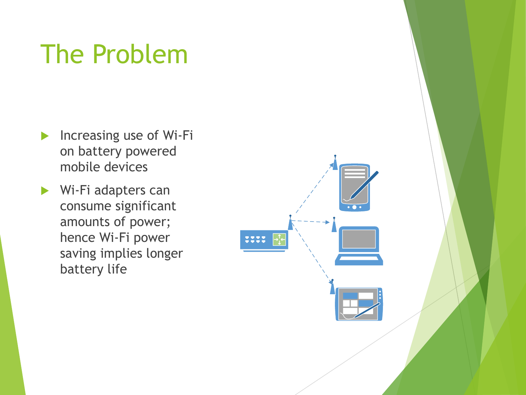### The Problem

- $\blacktriangleright$  Increasing use of Wi-Fi on battery powered mobile devices
- Wi-Fi adapters can consume significant amounts of power; hence Wi-Fi power saving implies longer battery life

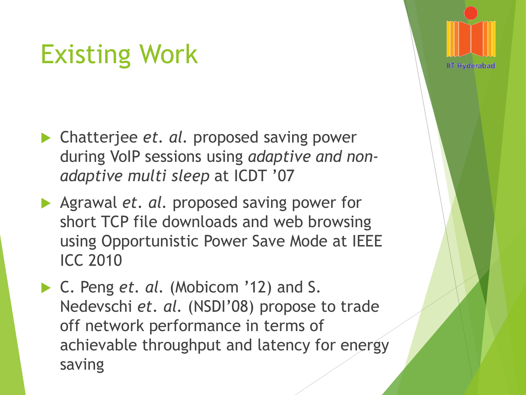### Existing Work

- **► Chatterjee** *et. al.* proposed saving power during VoIP sessions using *adaptive and nonadaptive multi sleep* at ICDT '07
- Agrawal *et. al.* proposed saving power for short TCP file downloads and web browsing using Opportunistic Power Save Mode at IEEE ICC 2010
- ▶ C. Peng *et. al.* (Mobicom '12) and S. Nedevschi *et. al.* (NSDI'08) propose to trade off network performance in terms of achievable throughput and latency for energy saving

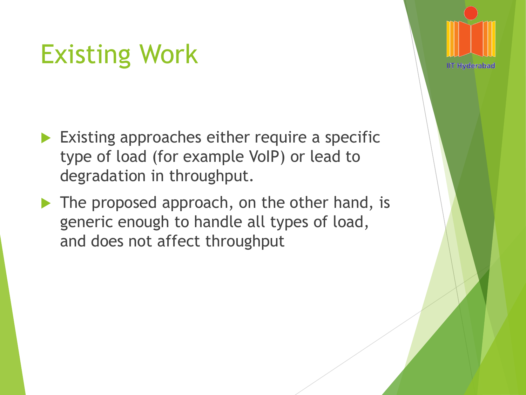### Existing Work

- Existing approaches either require a specific type of load (for example VoIP) or lead to degradation in throughput.
- The proposed approach, on the other hand, is generic enough to handle all types of load, and does not affect throughput

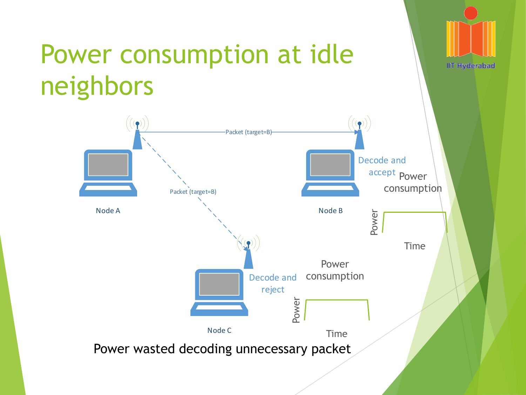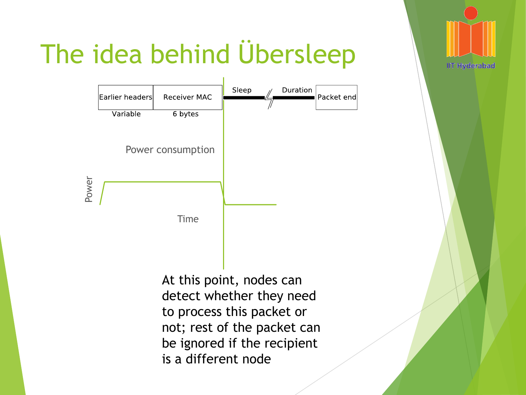

## The idea behind Übersleep

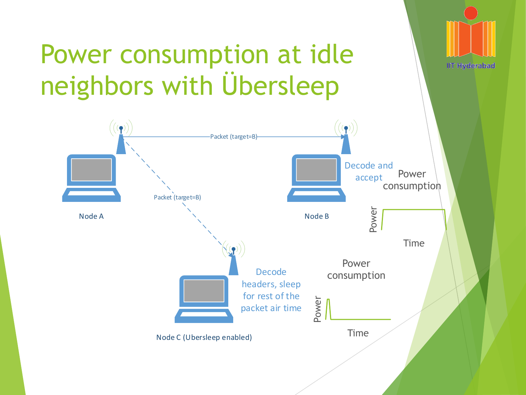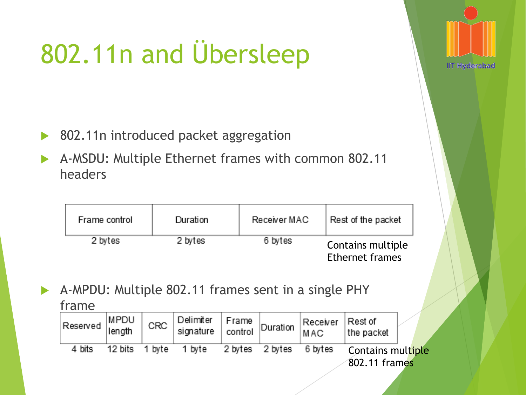# 802.11n and Übersleep

- ▶ 802.11n introduced packet aggregation
- A-MSDU: Multiple Ethernet frames with common 802.11 headers

| Frame control | Duration | Receiver MAC | Rest of the packet                          |
|---------------|----------|--------------|---------------------------------------------|
| 2 bytes       | 2 bytes  | 6 bytes      | Contains multiple<br><b>Ethernet frames</b> |

**IIT Hyderabad** 

 A-MPDU: Multiple 802.11 frames sent in a single PHY frame

| .           |                |        |                        |                  |          |                 |                                    |  |  |
|-------------|----------------|--------|------------------------|------------------|----------|-----------------|------------------------------------|--|--|
| Reserved  " | MPDU<br>length | CRC    | Delimiter<br>signature | Frame<br>control | Duration | Receiver<br>MAC | Rest of<br>the packet              |  |  |
| 4 bits      | 12 bits        | 1 bvte | 1 byte                 | 2 bytes          | 2 bytes  | 6 bytes         | Contains multiple<br>802.11 frames |  |  |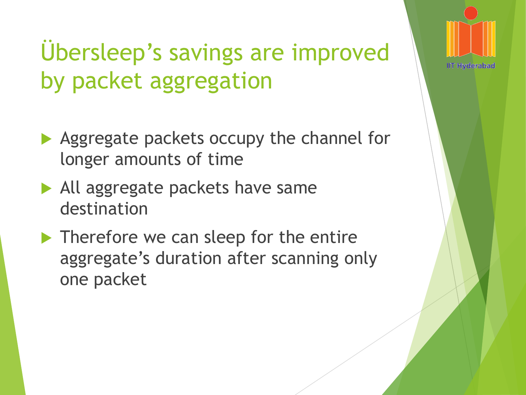### Übersleep's savings are improved by packet aggregation

- Aggregate packets occupy the channel for longer amounts of time
- All aggregate packets have same destination
- ▶ Therefore we can sleep for the entire aggregate's duration after scanning only one packet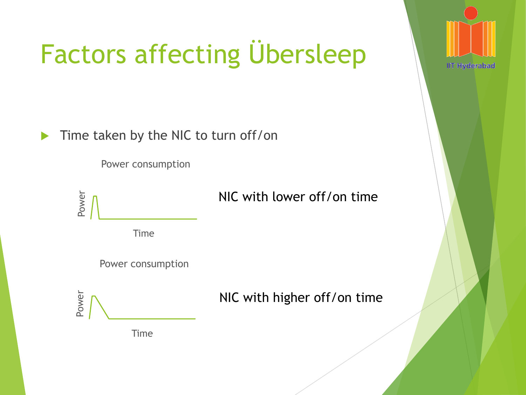

## Factors affecting Übersleep

Time taken by the NIC to turn off/on

Power consumption



#### NIC with lower off/on time



Power consumption

NIC with higher off/on time

Time

Power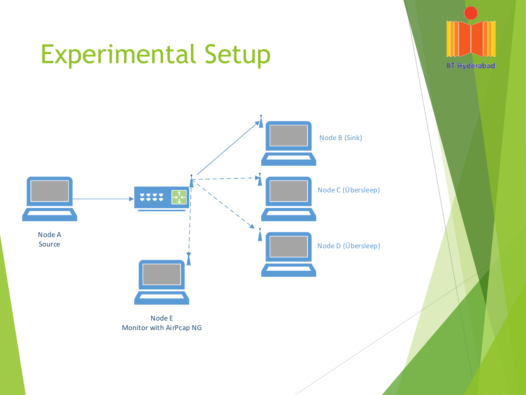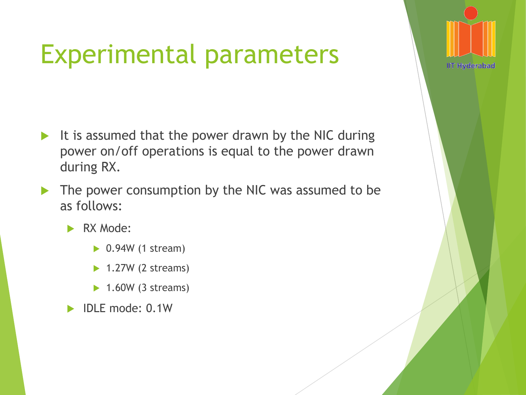### Experimental parameters

- It is assumed that the power drawn by the NIC during power on/off operations is equal to the power drawn during RX.
- The power consumption by the NIC was assumed to be as follows:
	- RX Mode:
		- $\triangleright$  0.94W (1 stream)
		- $\blacktriangleright$  1.27W (2 streams)
		- $\blacktriangleright$  1.60W (3 streams)
	- IDLE mode: 0.1W

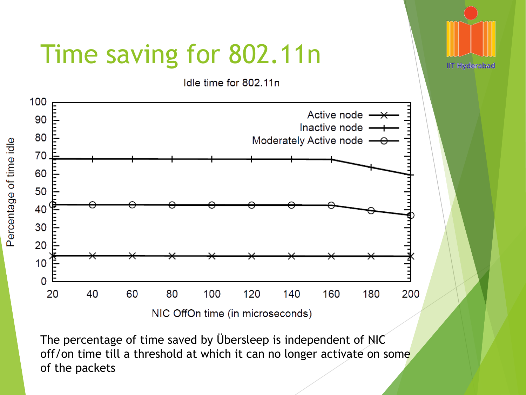

The percentage of time saved by Übersleep is independent of NIC off/on time till a threshold at which it can no longer activate on some of the packets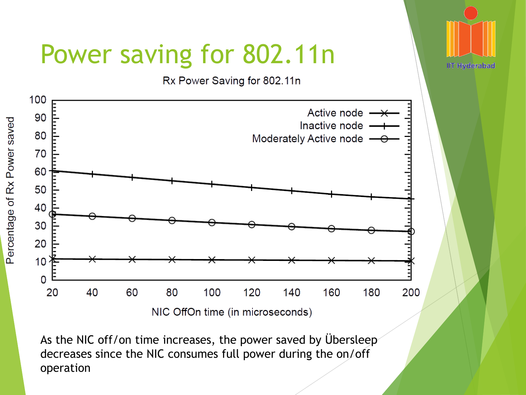

As the NIC off/on time increases, the power saved by Übersleep decreases since the NIC consumes full power during the on/off operation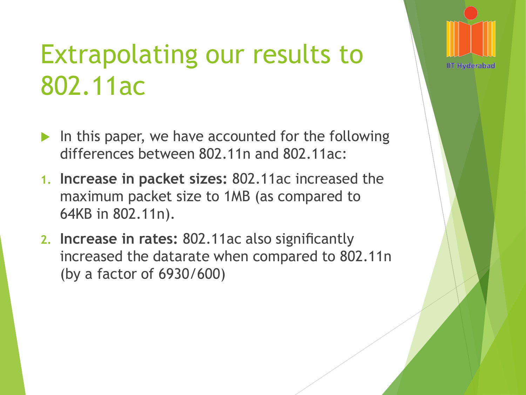### Extrapolating our results to 802.11ac

- In this paper, we have accounted for the following differences between 802.11n and 802.11ac:
- **1. Increase in packet sizes:** 802.11ac increased the maximum packet size to 1MB (as compared to 64KB in 802.11n).
- **2. Increase in rates:** 802.11ac also significantly increased the datarate when compared to 802.11n (by a factor of 6930/600)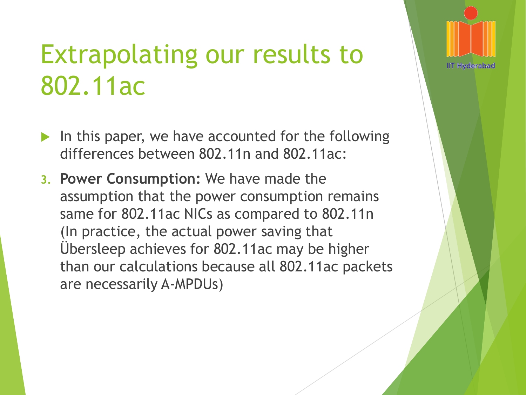### Extrapolating our results to 802.11ac

- In this paper, we have accounted for the following differences between 802.11n and 802.11ac:
- **3. Power Consumption:** We have made the assumption that the power consumption remains same for 802.11ac NICs as compared to 802.11n (In practice, the actual power saving that Übersleep achieves for 802.11ac may be higher than our calculations because all 802.11ac packets are necessarily A-MPDUs)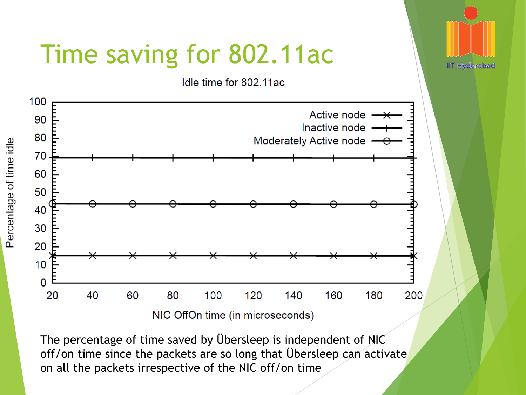

The percentage of time saved by Übersleep is independent of NIC off/on time since the packets are so long that Übersleep can activate on all the packets irrespective of the NIC off/on time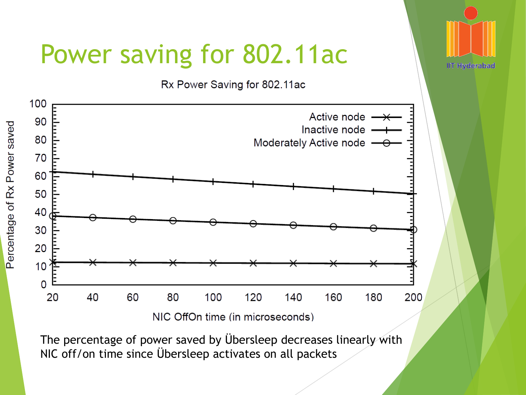### Power saving for 802.11ac

Rx Power Saving for 802.11ac

**IIT Hyderabad** 



The percentage of power saved by Übersleep decreases linearly with NIC off/on time since Übersleep activates on all packets

Percentage of Rx Power saved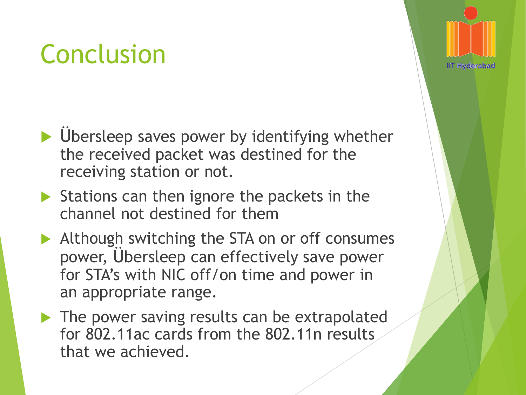## Conclusion

- $\blacktriangleright$  Übersleep saves power by identifying whether the received packet was destined for the receiving station or not.
- $\triangleright$  Stations can then ignore the packets in the channel not destined for them
- Although switching the STA on or off consumes power, Übersleep can effectively save power for STA's with NIC off/on time and power in an appropriate range.
- The power saving results can be extrapolated for 802.11ac cards from the 802.11n results that we achieved.